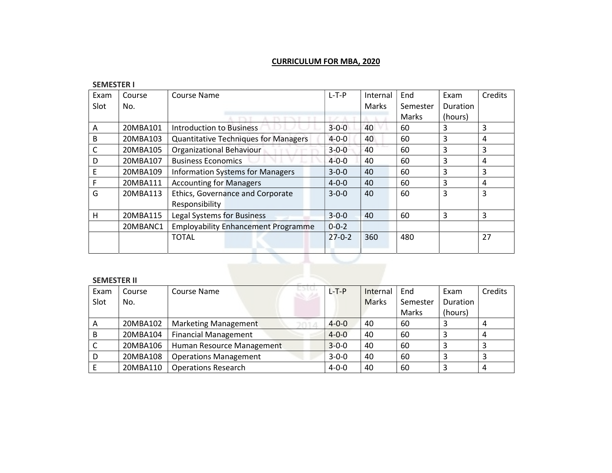# CURRICULUM FOR MBA, 2020

#### SEMESTER I

| Exam | Course   | Course Name                                 | $L-T-P$      | Internal | End      | Exam            | Credits |
|------|----------|---------------------------------------------|--------------|----------|----------|-----------------|---------|
| Slot | No.      |                                             |              | Marks    | Semester | <b>Duration</b> |         |
|      |          |                                             |              |          | Marks    | (hours)         |         |
| A    | 20MBA101 | <b>Introduction to Business</b>             | $3 - 0 - 0$  | 40       | 60       | 3               | 3       |
| B    | 20MBA103 | <b>Quantitative Techniques for Managers</b> | $4 - 0 - 0$  | 40       | 60       | 3               | 4       |
|      | 20MBA105 | Organizational Behaviour                    | $3 - 0 - 0$  | 40       | 60       | 3               | 3       |
| D    | 20MBA107 | <b>Business Economics</b>                   | $4 - 0 - 0$  | 40       | 60       | 3               | 4       |
| Ε    | 20MBA109 | <b>Information Systems for Managers</b>     | $3 - 0 - 0$  | 40       | 60       | 3               | 3       |
| F    | 20MBA111 | <b>Accounting for Managers</b>              | $4 - 0 - 0$  | 40       | 60       | 3               | 4       |
| G    | 20MBA113 | Ethics, Governance and Corporate            | $3 - 0 - 0$  | 40       | 60       | 3               | 3       |
|      |          | Responsibility                              |              |          |          |                 |         |
| H    | 20MBA115 | Legal Systems for Business                  | $3 - 0 - 0$  | 40       | 60       | 3               | 3       |
|      | 20MBANC1 | <b>Employability Enhancement Programme</b>  | $0 - 0 - 2$  |          |          |                 |         |
|      |          | <b>TOTAL</b>                                | $27 - 0 - 2$ | 360      | 480      |                 | 27      |
|      |          |                                             |              |          |          |                 |         |

#### SEMESTER II

| Exam | Course   | and the first<br>Course Name | L-T-P       | Internal     | End      | Exam     | Credits |
|------|----------|------------------------------|-------------|--------------|----------|----------|---------|
| Slot | No.      |                              |             | <b>Marks</b> | Semester | Duration |         |
|      |          |                              |             |              | Marks    | (hours)  |         |
| A    | 20MBA102 | Marketing Management         | $4 - 0 - 0$ | 40           | 60       | 3        |         |
| B    | 20MBA104 | <b>Financial Management</b>  | $4 - 0 - 0$ | 40           | 60       |          | 4       |
| C    | 20MBA106 | Human Resource Management    | $3 - 0 - 0$ | 40           | 60       |          | ာ       |
| D    | 20MBA108 | <b>Operations Management</b> | $3 - 0 - 0$ | 40           | 60       |          |         |
|      | 20MBA110 | <b>Operations Research</b>   | $4 - 0 - 0$ | 40           | 60       |          |         |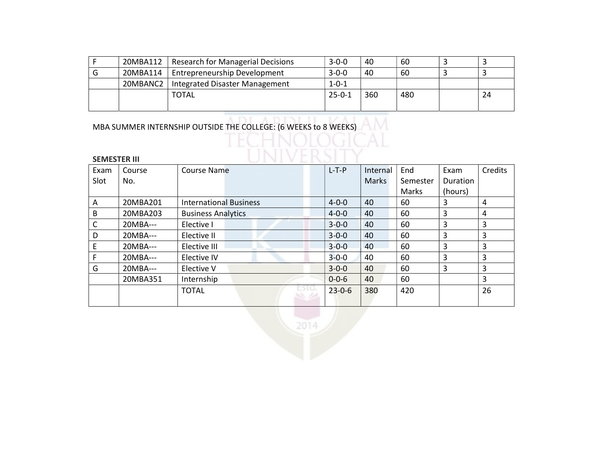| 20MBA112 | <b>Research for Managerial Decisions</b> | $3 - 0 - 0$  | 40  | 60  |    |
|----------|------------------------------------------|--------------|-----|-----|----|
| 20MBA114 | Entrepreneurship Development             | $3 - 0 - 0$  | 40  | 60  |    |
| 20MBANC2 | Integrated Disaster Management           | $1 - 0 - 1$  |     |     |    |
|          | <b>TOTAL</b>                             | $25 - 0 - 1$ | 360 | 480 | 24 |
|          |                                          |              |     |     |    |

VED.

MBA SUMMER INTERNSHIP OUTSIDE THE COLLEGE: (6 WEEKS to 8 WEEKS)

TNT

| <b>SEMESTER III</b> |          |                               |              |          |          |                |                |
|---------------------|----------|-------------------------------|--------------|----------|----------|----------------|----------------|
| Exam                | Course   | <b>Course Name</b>            | $L-T-P$      | Internal | End      | Exam           | Credits        |
| Slot                | No.      |                               |              | Marks    | Semester | Duration       |                |
|                     |          |                               |              |          | Marks    | (hours)        |                |
| A                   | 20MBA201 | <b>International Business</b> | $4 - 0 - 0$  | 40       | 60       | 3              | 4              |
| B                   | 20MBA203 | <b>Business Analytics</b>     | $4 - 0 - 0$  | 40       | 60       | 3              | 4              |
| C                   | 20MBA--- | Elective I                    | $3 - 0 - 0$  | 40       | 60       | $\overline{3}$ | 3              |
| D                   | 20MBA--- | Elective II                   | $3 - 0 - 0$  | 40       | 60       | 3              | 3              |
| E                   | 20MBA--- | Elective III                  | $3 - 0 - 0$  | 40       | 60       | 3              | 3              |
| F                   | 20MBA--- | Elective IV                   | $3 - 0 - 0$  | 40       | 60       | 3              | 3              |
| G                   | 20MBA--- | Elective V                    | $3 - 0 - 0$  | 40       | 60       | 3              | 3              |
|                     | 20MBA351 | Internship                    | $0 - 0 - 6$  | 40       | 60       |                | $\overline{3}$ |
|                     |          | <b>TOTAL</b>                  | $23 - 0 - 6$ | 380      | 420      |                | 26             |
|                     |          | 2014                          |              |          |          |                |                |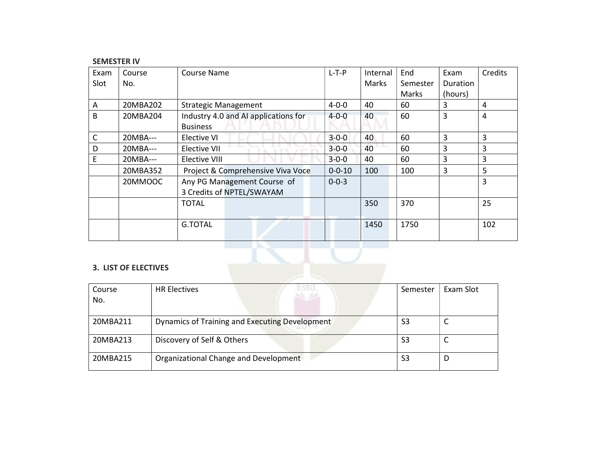### SEMESTER IV

| Exam | Course   | Course Name                          | $L-T-P$      | Internal     | End      | Exam            | Credits |
|------|----------|--------------------------------------|--------------|--------------|----------|-----------------|---------|
| Slot | No.      |                                      |              | <b>Marks</b> | Semester | <b>Duration</b> |         |
|      |          |                                      |              |              | Marks    | (hours)         |         |
| A    | 20MBA202 | <b>Strategic Management</b>          | $4 - 0 - 0$  | 40           | 60       | 3               | 4       |
| B    | 20MBA204 | Industry 4.0 and AI applications for | $4 - 0 - 0$  | 40           | 60       | 3               | 4       |
|      |          | <b>Business</b>                      |              |              |          |                 |         |
| C    | 20MBA--- | Elective VI                          | $3 - 0 - 0$  | 40           | 60       | 3               | 3       |
| D    | 20MBA--- | Elective VII                         | $3 - 0 - 0$  | 40           | 60       | 3               | 3       |
| E    | 20MBA--- | Elective VIII                        | $3 - 0 - 0$  | 40           | 60       | 3               | 3       |
|      | 20MBA352 | Project & Comprehensive Viva Voce    | $0 - 0 - 10$ | 100          | 100      | 3               | 5       |
|      | 20MMOOC  | Any PG Management Course of          | $0 - 0 - 3$  |              |          |                 | 3       |
|      |          | 3 Credits of NPTEL/SWAYAM            |              |              |          |                 |         |
|      |          | <b>TOTAL</b>                         |              | 350          | 370      |                 | 25      |
|      |          |                                      |              |              |          |                 |         |
|      |          | <b>G.TOTAL</b>                       |              | 1450         | 1750     |                 | 102     |
|      |          |                                      |              |              |          |                 |         |

## 3. LIST OF ELECTIVES

| Course   | <b>HR Electives</b>                            | Semester | Exam Slot |
|----------|------------------------------------------------|----------|-----------|
| No.      |                                                |          |           |
|          |                                                |          |           |
| 20MBA211 | Dynamics of Training and Executing Development | S3       |           |
| 20MBA213 | Discovery of Self & Others                     | S3       | ╰         |
| 20MBA215 | Organizational Change and Development          | S3       | D         |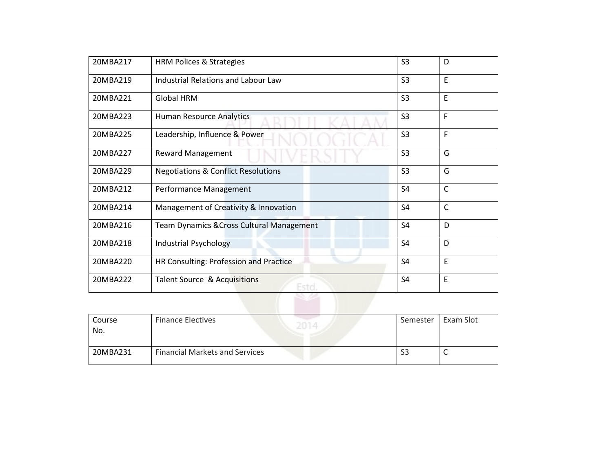| 20MBA217 | <b>HRM Polices &amp; Strategies</b>            | S <sub>3</sub> | D            |
|----------|------------------------------------------------|----------------|--------------|
| 20MBA219 | <b>Industrial Relations and Labour Law</b>     | S <sub>3</sub> | E            |
| 20MBA221 | <b>Global HRM</b>                              | S <sub>3</sub> | $\mathsf E$  |
| 20MBA223 | Human Resource Analytics                       | S <sub>3</sub> | F            |
| 20MBA225 | Leadership, Influence & Power                  | S <sub>3</sub> | F            |
| 20MBA227 | <b>Reward Management</b>                       | S <sub>3</sub> | G            |
| 20MBA229 | <b>Negotiations &amp; Conflict Resolutions</b> | S <sub>3</sub> | G            |
| 20MBA212 | Performance Management                         | <b>S4</b>      | $\mathsf{C}$ |
| 20MBA214 | Management of Creativity & Innovation          | S <sub>4</sub> | $\mathsf{C}$ |
| 20MBA216 | Team Dynamics & Cross Cultural Management      | S <sub>4</sub> | D            |
| 20MBA218 | <b>Industrial Psychology</b>                   | S <sub>4</sub> | D            |
| 20MBA220 | HR Consulting: Profession and Practice         | S <sub>4</sub> | E            |
| 20MBA222 | Talent Source & Acquisitions<br>Estol          | S <sub>4</sub> | E            |
|          |                                                |                |              |

| Course<br>No. | <b>Finance Electives</b>              | Semester     | Exam Slot |
|---------------|---------------------------------------|--------------|-----------|
| 20MBA231      | <b>Financial Markets and Services</b> | $\sim$<br>აპ |           |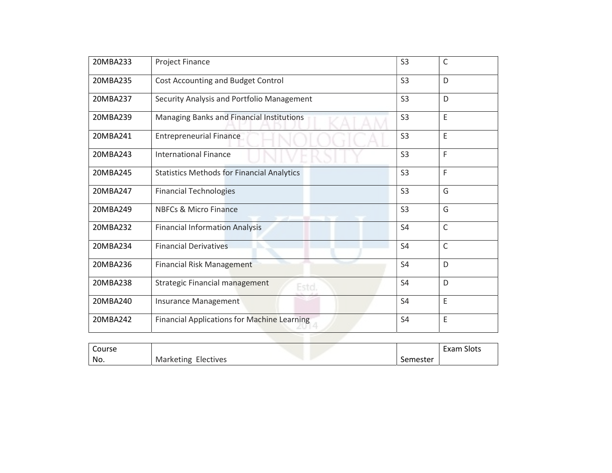| 20MBA233 | <b>Project Finance</b>                             | S <sub>3</sub> | $\mathsf{C}$ |
|----------|----------------------------------------------------|----------------|--------------|
| 20MBA235 | Cost Accounting and Budget Control                 | S <sub>3</sub> | D            |
| 20MBA237 | Security Analysis and Portfolio Management         | S <sub>3</sub> | D            |
| 20MBA239 | Managing Banks and Financial Institutions          | S <sub>3</sub> | E            |
| 20MBA241 | <b>Entrepreneurial Finance</b>                     | S <sub>3</sub> | E            |
| 20MBA243 | <b>International Finance</b>                       | S <sub>3</sub> | F            |
| 20MBA245 | <b>Statistics Methods for Financial Analytics</b>  | S <sub>3</sub> | F            |
| 20MBA247 | <b>Financial Technologies</b>                      | S <sub>3</sub> | G            |
| 20MBA249 | <b>NBFCs &amp; Micro Finance</b>                   | S <sub>3</sub> | G            |
| 20MBA232 | <b>Financial Information Analysis</b>              | S <sub>4</sub> | $\mathsf{C}$ |
| 20MBA234 | <b>Financial Derivatives</b>                       | <b>S4</b>      | $\mathsf{C}$ |
| 20MBA236 | <b>Financial Risk Management</b>                   | <b>S4</b>      | D            |
| 20MBA238 | <b>Strategic Financial management</b><br>Esto,     | S <sub>4</sub> | D            |
| 20MBA240 | Insurance Management                               | S <sub>4</sub> | E            |
| 20MBA242 | <b>Financial Applications for Machine Learning</b> | S <sub>4</sub> | E            |
|          |                                                    |                |              |

| Course |                              |            | Slots<br>Exam |
|--------|------------------------------|------------|---------------|
| No.    | Electives<br>Marl<br>rketing | oemester ۔ |               |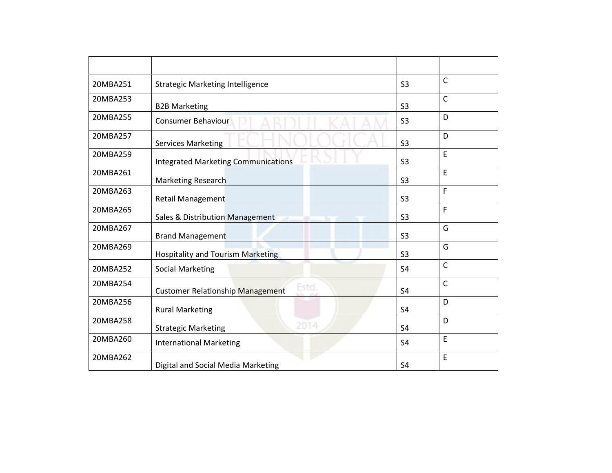| 20MBA251 | <b>Strategic Marketing Intelligence</b>          | S <sub>3</sub> | C            |
|----------|--------------------------------------------------|----------------|--------------|
| 20MBA253 | <b>B2B Marketing</b>                             | S <sub>3</sub> | C            |
| 20MBA255 | Consumer Behaviour                               | S <sub>3</sub> | D            |
| 20MBA257 | <b>Services Marketing</b>                        | S <sub>3</sub> | D            |
| 20MBA259 | <b>Integrated Marketing Communications</b>       | S <sub>3</sub> | E            |
| 20MBA261 | <b>Marketing Research</b>                        | S <sub>3</sub> | E            |
| 20MBA263 | <b>Retail Management</b>                         | S <sub>3</sub> | F            |
| 20MBA265 | Sales & Distribution Management                  | S <sub>3</sub> | F            |
| 20MBA267 | <b>Brand Management</b>                          | S <sub>3</sub> | G            |
| 20MBA269 | <b>Hospitality and Tourism Marketing</b>         | S <sub>3</sub> | G            |
| 20MBA252 | <b>Social Marketing</b>                          | S <sub>4</sub> | $\mathsf{C}$ |
| 20MBA254 | Estd.<br><b>Customer Relationship Management</b> | <b>S4</b>      | C            |
| 20MBA256 | <b>Rural Marketing</b>                           | S <sub>4</sub> | D            |
| 20MBA258 | 2014<br><b>Strategic Marketing</b>               | S <sub>4</sub> | D            |
| 20MBA260 | <b>International Marketing</b>                   | S <sub>4</sub> | E            |
| 20MBA262 | Digital and Social Media Marketing               | <b>S4</b>      | E            |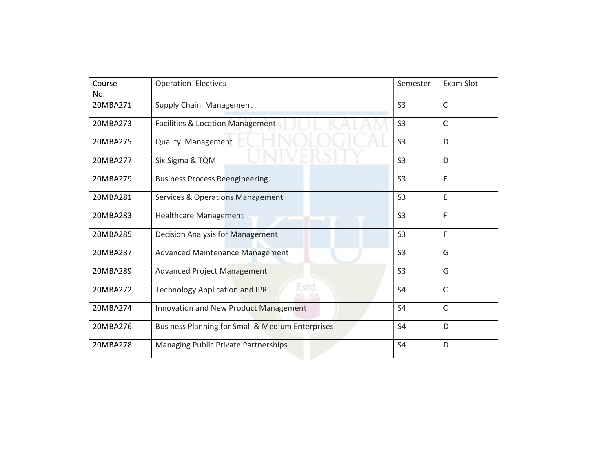| Course<br>No. | <b>Operation Electives</b>                                  | Semester       | Exam Slot    |
|---------------|-------------------------------------------------------------|----------------|--------------|
| 20MBA271      | Supply Chain Management                                     | S <sub>3</sub> | $\mathsf C$  |
| 20MBA273      | Facilities & Location Management                            | S <sub>3</sub> | $\mathsf{C}$ |
| 20MBA275      | Quality Management                                          | S <sub>3</sub> | D            |
| 20MBA277      | Six Sigma & TQM                                             | S <sub>3</sub> | D            |
| 20MBA279      | <b>Business Process Reengineering</b>                       | S <sub>3</sub> | E            |
| 20MBA281      | <b>Services &amp; Operations Management</b>                 | S <sub>3</sub> | E            |
| 20MBA283      | <b>Healthcare Management</b>                                | S <sub>3</sub> | F            |
| 20MBA285      | <b>Decision Analysis for Management</b>                     | S <sub>3</sub> | F            |
| 20MBA287      | <b>Advanced Maintenance Management</b>                      | S <sub>3</sub> | G            |
| 20MBA289      | <b>Advanced Project Management</b>                          | S <sub>3</sub> | G            |
| 20MBA272      | <b>Technology Application and IPR</b>                       | S <sub>4</sub> | $\mathsf{C}$ |
| 20MBA274      | Innovation and New Product Management                       | S <sub>4</sub> | $\mathsf{C}$ |
| 20MBA276      | <b>Business Planning for Small &amp; Medium Enterprises</b> | S <sub>4</sub> | D            |
| 20MBA278      | Managing Public Private Partnerships                        | S <sub>4</sub> | D            |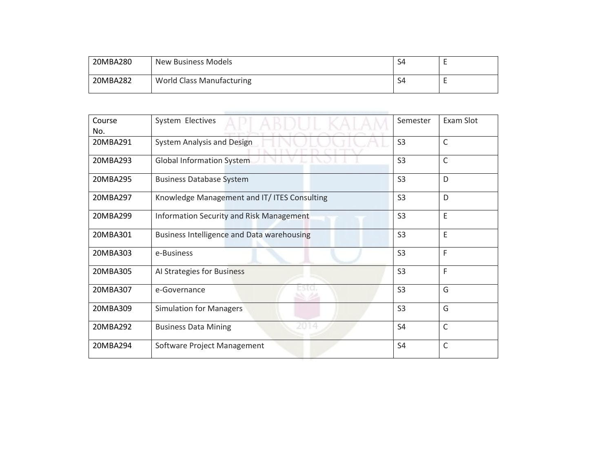| 20MBA280 | <b>New Business Models</b>       | S4 |  |
|----------|----------------------------------|----|--|
| 20MBA282 | <b>World Class Manufacturing</b> | S4 |  |
|          |                                  |    |  |

| Course<br>No. | System Electives                             | Semester       | Exam Slot    |
|---------------|----------------------------------------------|----------------|--------------|
| 20MBA291      | System Analysis and Design                   | S <sub>3</sub> | $\mathsf{C}$ |
| 20MBA293      | Global Information System                    | S <sub>3</sub> | $\mathsf{C}$ |
| 20MBA295      | <b>Business Database System</b>              | S <sub>3</sub> | D            |
| 20MBA297      | Knowledge Management and IT/ ITES Consulting | S <sub>3</sub> | D            |
| 20MBA299      | Information Security and Risk Management     | S <sub>3</sub> | E            |
| 20MBA301      | Business Intelligence and Data warehousing   | S <sub>3</sub> | E            |
| 20MBA303      | e-Business                                   | S <sub>3</sub> | F            |
| 20MBA305      | Al Strategies for Business                   | S <sub>3</sub> | F            |
| 20MBA307      | wa m<br>e-Governance                         | S <sub>3</sub> | G            |
| 20MBA309      | <b>Simulation for Managers</b>               | S <sub>3</sub> | G            |
| 20MBA292      | 2014<br><b>Business Data Mining</b>          | S4             | C            |
| 20MBA294      | Software Project Management                  | S4             | C            |